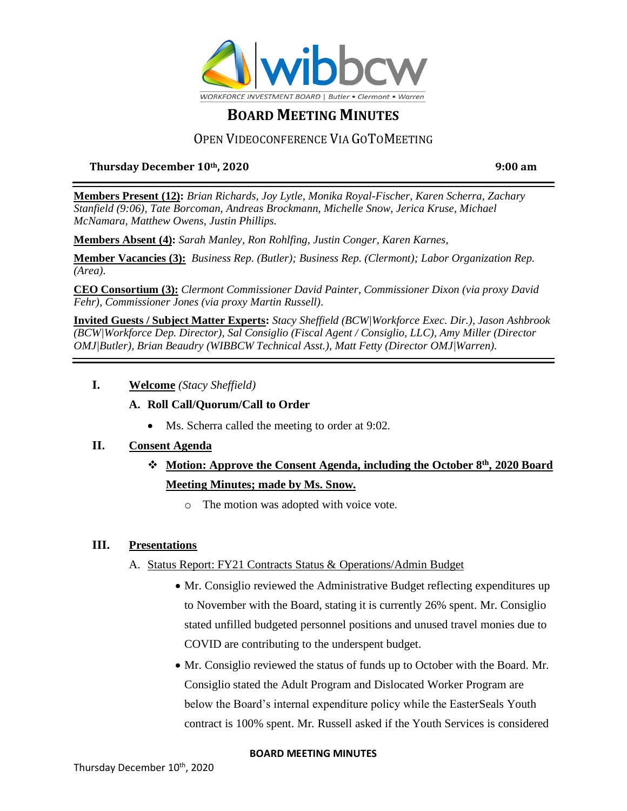

## OPEN VIDEOCONFERENCE VIA GOTOMEETING

### **Thursday December 10th, 2020 9:00 am**

**Members Present (12):** *Brian Richards, Joy Lytle, Monika Royal-Fischer, Karen Scherra, Zachary Stanfield (9:06), Tate Borcoman, Andreas Brockmann, Michelle Snow, Jerica Kruse, Michael McNamara, Matthew Owens, Justin Phillips.*

**Members Absent (4):** *Sarah Manley, Ron Rohlfing, Justin Conger, Karen Karnes,* 

**Member Vacancies (3):** *Business Rep. (Butler); Business Rep. (Clermont); Labor Organization Rep. (Area).*

**CEO Consortium (3):** *Clermont Commissioner David Painter, Commissioner Dixon (via proxy David Fehr), Commissioner Jones (via proxy Martin Russell).*

**Invited Guests / Subject Matter Experts:** *Stacy Sheffield (BCW|Workforce Exec. Dir.), Jason Ashbrook (BCW|Workforce Dep. Director), Sal Consiglio (Fiscal Agent / Consiglio, LLC), Amy Miller (Director OMJ|Butler), Brian Beaudry (WIBBCW Technical Asst.), Matt Fetty (Director OMJ|Warren).*

**I. Welcome** *(Stacy Sheffield)*

### **A. Roll Call/Quorum/Call to Order**

• Ms. Scherra called the meeting to order at 9:02.

### **II. Consent Agenda**

# ❖ **Motion: Approve the Consent Agenda, including the October 8th , 2020 Board Meeting Minutes; made by Ms. Snow.**

o The motion was adopted with voice vote.

#### **III. Presentations**

- A. Status Report: FY21 Contracts Status & Operations/Admin Budget
	- Mr. Consiglio reviewed the Administrative Budget reflecting expenditures up to November with the Board, stating it is currently 26% spent. Mr. Consiglio stated unfilled budgeted personnel positions and unused travel monies due to COVID are contributing to the underspent budget.
	- Mr. Consiglio reviewed the status of funds up to October with the Board. Mr. Consiglio stated the Adult Program and Dislocated Worker Program are below the Board's internal expenditure policy while the EasterSeals Youth contract is 100% spent. Mr. Russell asked if the Youth Services is considered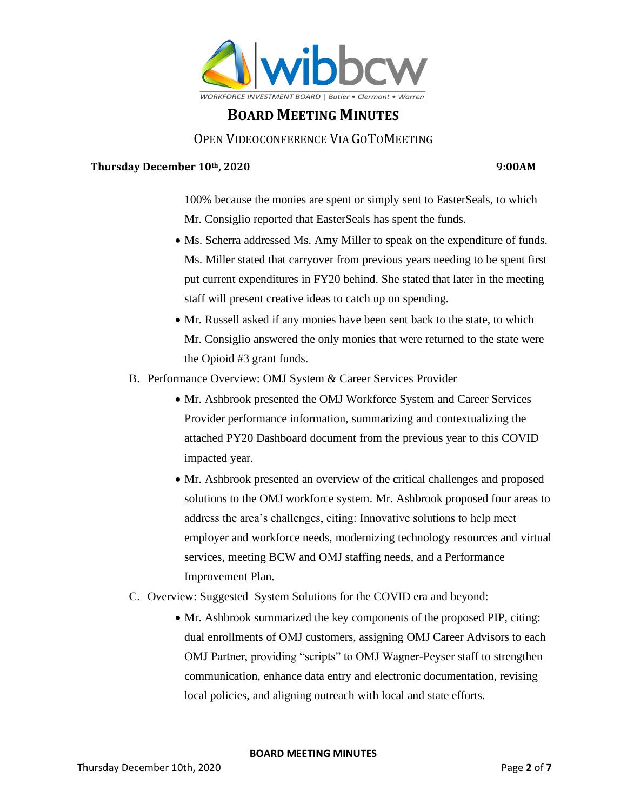

## OPEN VIDEOCONFERENCE VIA GOTOMEETING

#### **Thursday December 10th, 2020 9:00AM**

100% because the monies are spent or simply sent to EasterSeals, to which Mr. Consiglio reported that EasterSeals has spent the funds.

- Ms. Scherra addressed Ms. Amy Miller to speak on the expenditure of funds. Ms. Miller stated that carryover from previous years needing to be spent first put current expenditures in FY20 behind. She stated that later in the meeting staff will present creative ideas to catch up on spending.
- Mr. Russell asked if any monies have been sent back to the state, to which Mr. Consiglio answered the only monies that were returned to the state were the Opioid #3 grant funds.
- B. Performance Overview: OMJ System & Career Services Provider
	- Mr. Ashbrook presented the OMJ Workforce System and Career Services Provider performance information, summarizing and contextualizing the attached PY20 Dashboard document from the previous year to this COVID impacted year.
	- Mr. Ashbrook presented an overview of the critical challenges and proposed solutions to the OMJ workforce system. Mr. Ashbrook proposed four areas to address the area's challenges, citing: Innovative solutions to help meet employer and workforce needs, modernizing technology resources and virtual services, meeting BCW and OMJ staffing needs, and a Performance Improvement Plan.
- C. Overview: Suggested System Solutions for the COVID era and beyond:
	- Mr. Ashbrook summarized the key components of the proposed PIP, citing: dual enrollments of OMJ customers, assigning OMJ Career Advisors to each OMJ Partner, providing "scripts" to OMJ Wagner-Peyser staff to strengthen communication, enhance data entry and electronic documentation, revising local policies, and aligning outreach with local and state efforts.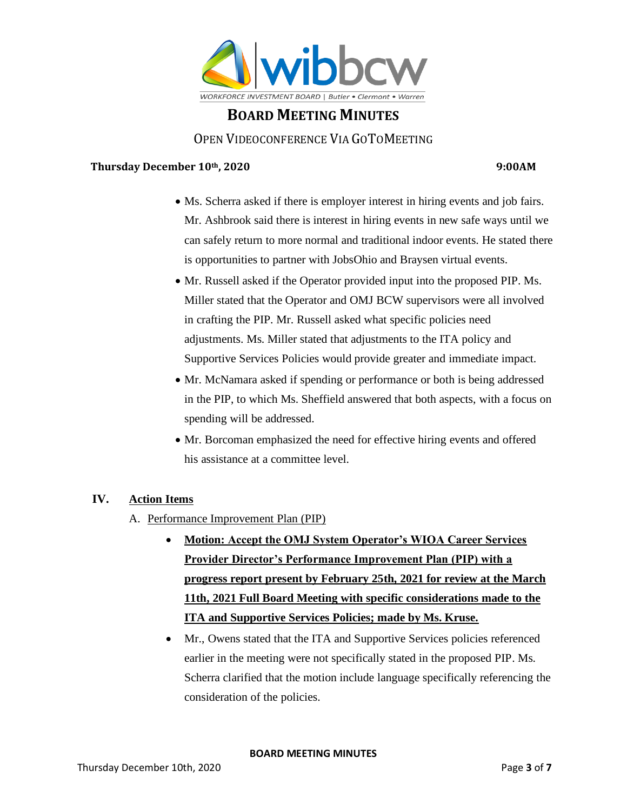

## OPEN VIDEOCONFERENCE VIA GOTOMEETING

#### **Thursday December 10th, 2020 9:00AM**

- Ms. Scherra asked if there is employer interest in hiring events and job fairs. Mr. Ashbrook said there is interest in hiring events in new safe ways until we can safely return to more normal and traditional indoor events. He stated there is opportunities to partner with JobsOhio and Braysen virtual events.
- Mr. Russell asked if the Operator provided input into the proposed PIP. Ms. Miller stated that the Operator and OMJ BCW supervisors were all involved in crafting the PIP. Mr. Russell asked what specific policies need adjustments. Ms. Miller stated that adjustments to the ITA policy and Supportive Services Policies would provide greater and immediate impact.
- Mr. McNamara asked if spending or performance or both is being addressed in the PIP, to which Ms. Sheffield answered that both aspects, with a focus on spending will be addressed.
- Mr. Borcoman emphasized the need for effective hiring events and offered his assistance at a committee level.

#### **IV. Action Items**

- A. Performance Improvement Plan (PIP)
	- **Motion: Accept the OMJ System Operator's WIOA Career Services Provider Director's Performance Improvement Plan (PIP) with a progress report present by February 25th, 2021 for review at the March 11th, 2021 Full Board Meeting with specific considerations made to the ITA and Supportive Services Policies; made by Ms. Kruse.**
	- Mr., Owens stated that the ITA and Supportive Services policies referenced earlier in the meeting were not specifically stated in the proposed PIP. Ms. Scherra clarified that the motion include language specifically referencing the consideration of the policies.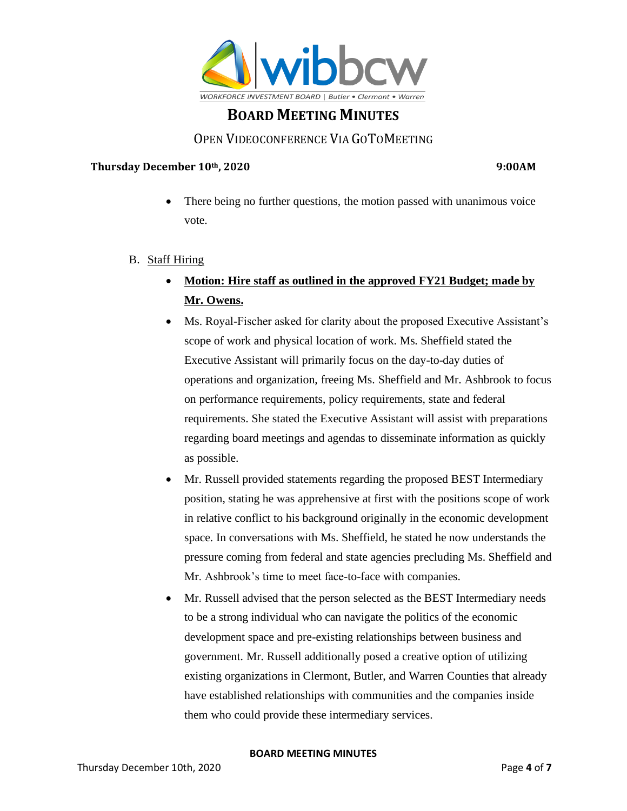

## OPEN VIDEOCONFERENCE VIA GOTOMEETING

#### **Thursday December 10th, 2020 9:00AM**

- There being no further questions, the motion passed with unanimous voice vote.
- B. Staff Hiring
	- **Motion: Hire staff as outlined in the approved FY21 Budget; made by Mr. Owens.**
	- Ms. Royal-Fischer asked for clarity about the proposed Executive Assistant's scope of work and physical location of work. Ms. Sheffield stated the Executive Assistant will primarily focus on the day-to-day duties of operations and organization, freeing Ms. Sheffield and Mr. Ashbrook to focus on performance requirements, policy requirements, state and federal requirements. She stated the Executive Assistant will assist with preparations regarding board meetings and agendas to disseminate information as quickly as possible.
	- Mr. Russell provided statements regarding the proposed BEST Intermediary position, stating he was apprehensive at first with the positions scope of work in relative conflict to his background originally in the economic development space. In conversations with Ms. Sheffield, he stated he now understands the pressure coming from federal and state agencies precluding Ms. Sheffield and Mr. Ashbrook's time to meet face-to-face with companies.
	- Mr. Russell advised that the person selected as the BEST Intermediary needs to be a strong individual who can navigate the politics of the economic development space and pre-existing relationships between business and government. Mr. Russell additionally posed a creative option of utilizing existing organizations in Clermont, Butler, and Warren Counties that already have established relationships with communities and the companies inside them who could provide these intermediary services.

#### **BOARD MEETING MINUTES**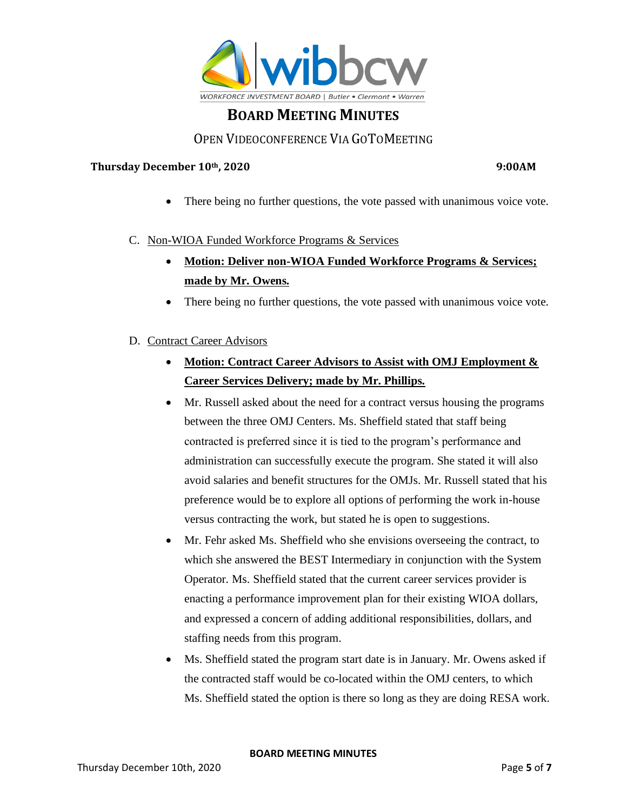

## OPEN VIDEOCONFERENCE VIA GOTOMEETING

#### **Thursday December 10th, 2020 9:00AM**

There being no further questions, the vote passed with unanimous voice vote.

#### C. Non-WIOA Funded Workforce Programs & Services

- **Motion: Deliver non-WIOA Funded Workforce Programs & Services; made by Mr. Owens.**
- There being no further questions, the vote passed with unanimous voice vote.
- D. Contract Career Advisors
	- **Motion: Contract Career Advisors to Assist with OMJ Employment & Career Services Delivery; made by Mr. Phillips.**
	- Mr. Russell asked about the need for a contract versus housing the programs between the three OMJ Centers. Ms. Sheffield stated that staff being contracted is preferred since it is tied to the program's performance and administration can successfully execute the program. She stated it will also avoid salaries and benefit structures for the OMJs. Mr. Russell stated that his preference would be to explore all options of performing the work in-house versus contracting the work, but stated he is open to suggestions.
	- Mr. Fehr asked Ms. Sheffield who she envisions overseeing the contract, to which she answered the BEST Intermediary in conjunction with the System Operator. Ms. Sheffield stated that the current career services provider is enacting a performance improvement plan for their existing WIOA dollars, and expressed a concern of adding additional responsibilities, dollars, and staffing needs from this program.
	- Ms. Sheffield stated the program start date is in January. Mr. Owens asked if the contracted staff would be co-located within the OMJ centers, to which Ms. Sheffield stated the option is there so long as they are doing RESA work.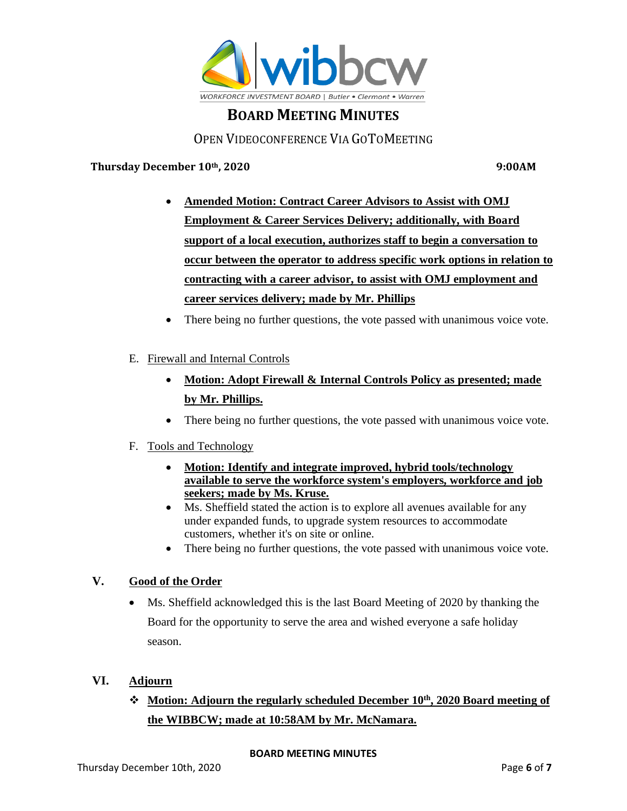

## OPEN VIDEOCONFERENCE VIA GOTOMEETING

**Thursday December 10th, 2020 9:00AM**

- **Amended Motion: Contract Career Advisors to Assist with OMJ Employment & Career Services Delivery; additionally, with Board support of a local execution, authorizes staff to begin a conversation to occur between the operator to address specific work options in relation to contracting with a career advisor, to assist with OMJ employment and career services delivery; made by Mr. Phillips**
- There being no further questions, the vote passed with unanimous voice vote.
- E. Firewall and Internal Controls
	- **Motion: Adopt Firewall & Internal Controls Policy as presented; made by Mr. Phillips.**
	- There being no further questions, the vote passed with unanimous voice vote.

#### F. Tools and Technology

- **Motion: Identify and integrate improved, hybrid tools/technology available to serve the workforce system's employers, workforce and job seekers; made by Ms. Kruse.**
- Ms. Sheffield stated the action is to explore all avenues available for any under expanded funds, to upgrade system resources to accommodate customers, whether it's on site or online.
- There being no further questions, the vote passed with unanimous voice vote.

#### **V. Good of the Order**

• Ms. Sheffield acknowledged this is the last Board Meeting of 2020 by thanking the Board for the opportunity to serve the area and wished everyone a safe holiday season.

## **VI. Adjourn**

# ❖ **Motion: Adjourn the regularly scheduled December 10th, 2020 Board meeting of the WIBBCW; made at 10:58AM by Mr. McNamara.**

#### **BOARD MEETING MINUTES**